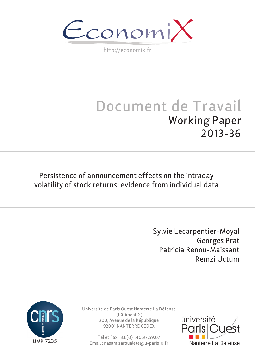$\epsilon$ conomi)

http://economix.fr

# Document de Travail Working Paper 2013-36

Persistence of announcement effects on the intraday volatility of stock returns: evidence from individual data

> Sylvie Lecarpentier-Moyal Georges Prat Patricia Renou-Maissant Remzi Uctum



Université de Paris Ouest Nanterre La Défense (bâtiment G) 200, Avenue de la République 92001 NANTERRE CEDEX

Tél et Fax : 33.(0)1.40.97.59.07 Email : nasam.zaroualete@u-paris10.fr

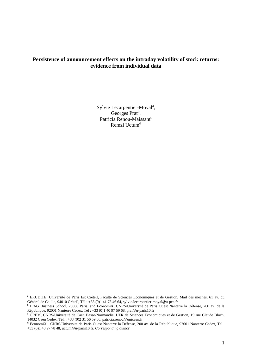# **Persistence of announcement effects on the intraday volatility of stock returns: evidence from individual data**

Sylvie Lecarpentier-Moyal<sup>a</sup>, Georges Prat<sup>b</sup>, Patricia Renou-Maissant<sup>c</sup> Remzi Uctum<sup>d</sup>

a ERUDITE, Université de Paris Est Créteil, Faculté de Sciences Economiques et de Gestion, Mail des mèches, 61 av. du Général de Gaulle, 94010 Créteil, Tél : +33 (0)1 41 78 46 64, sylvie.lecarpentier-moyal@u-pec.fr b

<sup>&</sup>lt;sup>b</sup> IPAG Business School, 75006 Paris, and EconomiX, CNRS/Université de Paris Ouest Nanterre la Défense, 200 av. de la République, 92001 Nanterre Cedex, Tél : +33 (0)1 40 97 59 68, prat@u-paris10.fr

c CREM, CNRS/Université de Caen Basse-Normandie, UFR de Sciences Economiques et de Gestion, 19 rue Claude Bloch, 14032 Caen Cedex, Tél. : +33 (0)2 31 56 59 06, patricia.renou@unicaen.fr

<sup>&</sup>lt;sup>d</sup> EconomiX, CNRS/Université de Paris Ouest Nanterre la Défense, 200 av. de la République, 92001 Nanterre Cedex, Tel : +33 (0)1 40 97 78 48, uctum@u-paris10.fr. *Corresponding author.*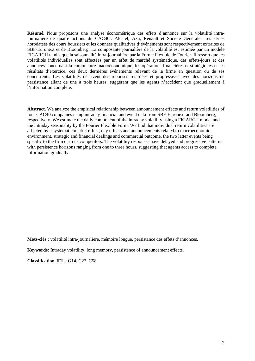**Résumé.** Nous proposons une analyse économétrique des effets d'annonce sur la volatilité intrajournalière de quatre actions du CAC40 : Alcatel, Axa, Renault et Société Générale. Les séries horodatées des cours boursiers et les données qualitatives d'événements sont respectivement extraites de SBF-Euronext et de Bloomberg. La composante journalière de la volatilité est estimée par un modèle FIGARCH tandis que la saisonnalité intra-journalière par la Forme Flexible de Fourier. Il ressort que les volatilités individuelles sont affectées par un effet de marché systématique, des effets-jours et des annonces concernant la conjoncture macroéconomique, les opérations financières et stratégiques et les résultats d'exercice, ces deux dernières événements relevant de la firme en question ou de ses concurrents. Les volatilités décrivent des réponses retardées et progressives avec des horizons de persistance allant de une à trois heures, suggérant que les agents n'accèdent que graduellement à l'information complète.

**Abstract.** We analyze the empirical relationship between announcement effects and return volatilities of four CAC40 companies using intraday financial and event data from SBF-Euronext and Bloomberg, respectively. We estimate the daily component of the intraday volatility using a FIGARCH model and the intraday seasonality by the Fourier Flexible Form. We find that individual return volatilities are affected by a systematic market effect, day effects and announcements related to macroeconomic environment, strategic and financial dealings and commercial outcome, the two latter events being specific to the firm or to its competitors. The volatility responses have delayed and progressive patterns with persistence horizons ranging from one to three hours, suggesting that agents access to complete information gradually.

**Mots-clés :** volatilité intra-journalière, mémoire longue, persistance des effets d'annonces.

**Keywords:** Intraday volatility, long memory, persistence of announcement effects.

**Classification JEL** : G14, C22, C58.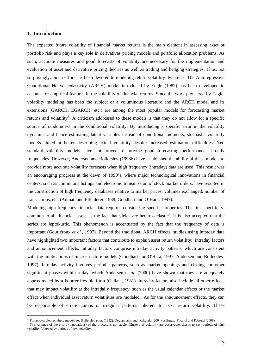## **1. Introduction**

1

The expected future volatility of financial market returns is the main element in assessing asset or portfolio risk and plays a key role in derivatives pricing models and portfolio allocation problems. As such, accurate measures and good forecasts of volatility are necessary for the implementation and evaluation of asset and derivative pricing theories as well as trading and hedging strategies. Thus, not surprisingly, much effort has been devoted to modeling return volatility dynamics. The Autoregressive Conditional Heteroskedasticity (ARCH) model introduced by Engle (1982) has been developed to account for empirical features in the volatility of financial returns. Since the work pioneered by Engle, volatility modeling has been the subject of a voluminous literature and the ARCH model and its extensions (GARCH, EGARCH, etc.) are among the most popular models for forecasting market returns and volatility<sup>1</sup>. A criticism addressed to these models is that they do not allow for a specific source of randomness in the conditional volatility. By introducing a specific error in the volatility dynamics and hence estimating latent variables instead of conditional moments, stochastic volatility models aimed at better describing actual volatility despite increased estimation difficulties. Yet, standard volatility models have not proved to provide good forecasting performance at daily frequencies. However, Andersen and Bollerslev (1998b) have established the ability of these models to provide more accurate volatility forecasts when high frequency (intraday) data are used. This result was an encouraging progress at the dawn of 1990's, where major technological innovations in financial centers, such as continuous listings and electronic transmission of stock market orders, have resulted in the construction of high frequency databases relative to market prices, volumes exchanged, number of transactions, etc. (Admati and Pfleiderer, 1988; Goodhart and O'Hara, 1997).

Modeling high frequency financial data requires considering specific properties. The first specificity, common to all financial assets, is the fact that yields are heteroskedastic<sup>2</sup>. It is also accepted that the series are leptokurtic. This phenomenon is accentuated by the fact that the frequency of data is important (Gouriéroux *et al.*, 1997). Beyond the traditional ARCH effects, studies using intraday data have highlighted two important factors that contribute to explain asset return volatility: intraday factors and announcement effects. Intraday factors comprise intraday activity patterns, which are consistent with the implications of microstructure models (Goodhart and O'Hara, 1997; Andersen and Bollerslev, 1997). Intraday activity involves periodic patterns, such as market openings and closings or other significant phases within a day, which Andersen et *al.* (2000) have shown that they are adequately approximated by a Fourier flexible form (Gallant, 1981). Intraday factors also include all other effects that may impact volatility at the intradaily frequency, such as the usual calendar effects or the market effect when individual asset return volatilities are modeled. As for the announcement effects, they can be responsible of erratic jumps or irregular patterns inherent to asset return volatility. These

<sup>&</sup>lt;sup>1</sup> For an overview on these models see Bollerslev *et al.* (1992), Degiannakis and Xekalaki (2004) or Engle, Focardi and Fabozzi (2008).

<sup>&</sup>lt;sup>2</sup> The variance of the errors (innovations) of the process is not stable. Clusters of volatility are observable, that is to say, periods of high volatility followed by periods of low volatility.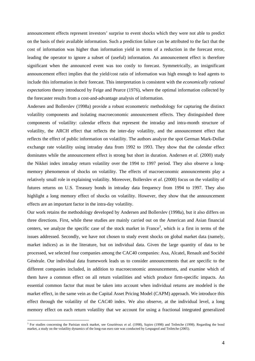announcement effects represent investors' surprise to event shocks which they were not able to predict on the basis of their available information. Such a prediction failure can be attributed to the fact that the cost of information was higher than information yield in terms of a reduction in the forecast error, leading the operator to ignore a subset of (useful) information. An announcement effect is therefore significant when the announced event was too costly to forecast. Symmetrically, an insignificant announcement effect implies that the yield/cost ratio of information was high enough to lead agents to include this information in their forecast. This interpretation is consistent with the *economically rational expectations* theory introduced by Feige and Pearce (1976), where the optimal information collected by the forecaster results from a cost-and-advantage analysis of information.

Andersen and Bollerslev (1998a) provide a robust econometric methodology for capturing the distinct volatility components and isolating macroeconomic announcement effects. They distinguished three components of volatility: calendar effects that represent the intraday and intra-month structure of volatility, the ARCH effect that reflects the inter-day volatility, and the announcement effect that reflects the effect of public information on volatility. The authors analyze the spot German Mark-Dollar exchange rate volatility using intraday data from 1992 to 1993. They show that the calendar effect dominates while the announcement effect is strong but short in duration. Andersen et *al*. (2000) study the Nikkei index intraday return volatility over the 1994 to 1997 period. They also observe a longmemory phenomenon of shocks on volatility. The effects of macroeconomic announcements play a relatively small role in explaining volatility. Moreover, Bollerslev et *al*. (2000) focus on the volatility of futures returns on U.S. Treasury bonds in intraday data frequency from 1994 to 1997. They also highlight a long memory effect of shocks on volatility. However, they show that the announcement effects are an important factor in the intra-day volatility.

Our work retains the methodology developed by Andersen and Bollerslev (1998a), but it also differs on three directions. First, while these studies are mainly carried out on the American and Asian financial centers, we analyze the specific case of the stock market in France<sup>3</sup>, which is a first in terms of the issues addressed. Secondly, we have not chosen to study event shocks on global market data (namely, market indices) as in the literature, but on individual data. Given the large quantity of data to be processed, we selected four companies among the CAC40 companies: Axa, Alcatel, Renault and Société Générale. Our individual data framework leads us to consider announcements that are specific to the different companies included, in addition to macroeconomic announcements, and examine which of them have a common effect on all return volatilities and which produce firm-specific impacts. An essential common factor that must be taken into account when individual returns are modeled is the market effect, in the same vein as the Capital Asset Pricing Model (CAPM) approach. We introduce this effect through the volatility of the CAC40 index. We also observe, at the individual level, a long memory effect on each return volatility that we account for using a fractional integrated generalized

<sup>&</sup>lt;sup>3</sup> For studies concerning the Parisian stock market, see Gouriéroux *et al.* (1998), Szpiro (1998) and Teiletche (1998). Regarding the bond market, a study on the volatility dynamics of the long-run euro rate was conducted by Lespagnol and Teiletche (2005).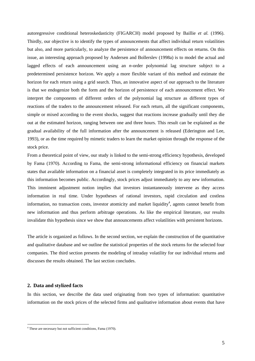autoregressive conditional heteroskedasticity (FIGARCH) model proposed by Baillie *et al.* (1996). Thirdly, our objective is to identify the types of announcements that affect individual return volatilities but also, and more particularly, to analyze the persistence of announcement effects on returns. On this issue, an interesting approach proposed by Andersen and Bollerslev (1998a) is to model the actual and lagged effects of each announcement using an *n*-order polynomial lag structure subject to a predetermined persistence horizon. We apply a more flexible variant of this method and estimate the horizon for each return using a grid search. Thus, an innovative aspect of our approach to the literature is that we endogenize both the form and the horizon of persistence of each announcement effect. We interpret the components of different orders of the polynomial lag structure as different types of reactions of the traders to the announcement released. For each return, all the significant components, simple or mixed according to the event shocks, suggest that reactions increase gradually until they die out at the estimated horizon, ranging between one and three hours. This result can be explained as the gradual availability of the full information after the announcement is released (Ederington and Lee, 1993), or as the time required by mimetic traders to learn the market opinion through the response of the stock price.

From a theoretical point of view, our study is linked to the semi-strong efficiency hypothesis, developed by Fama (1970). According to Fama, the semi-strong informational efficiency on financial markets states that available information on a financial asset is completely integrated in its price immediately as this information becomes public. Accordingly, stock prices adjust immediately to any new information. This imminent adjustment notion implies that investors instantaneously intervene as they access information in real time. Under hypotheses of rational investors, rapid circulation and costless information, no transaction costs, investor atomicity and market liquidity<sup>4</sup>, agents cannot benefit from new information and thus perform arbitrage operations. As like the empirical literature, our results invalidate this hypothesis since we show that announcements affect volatilities with persistent horizons.

The article is organized as follows. In the second section, we explain the construction of the quantitative and qualitative database and we outline the statistical properties of the stock returns for the selected four companies. The third section presents the modeling of intraday volatility for our individual returns and discusses the results obtained. The last section concludes.

### **2. Data and stylized facts**

<u>.</u>

In this section, we describe the data used originating from two types of information: quantitative information on the stock prices of the selected firms and qualitative information about events that have

<sup>4</sup> These are necessary but not sufficient conditions, Fama (1970).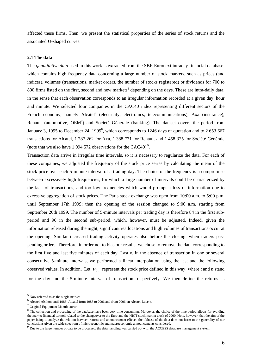affected these firms. Then, we present the statistical properties of the series of stock returns and the associated U-shaped curves.

#### **2.1 The data**

The *quantitative data* used in this work is extracted from the SBF-Euronext intraday financial database, which contains high frequency data concerning a large number of stock markets, such as prices (and indices), volumes (transactions, market orders, the number of stocks registered) or dividends for 700 to 800 firms listed on the first, second and new markets<sup>5</sup> depending on the days. These are intra-daily data, in the sense that each observation corresponds to an irregular information recorded at a given day, hour and minute. We selected four companies in the CAC40 index representing different sectors of the French economy, namely Alcatel<sup>6</sup> (electricity, electronics, telecommunications), Axa (insurance), Renault (automotive,  $OEM^7$ ) and Société Générale (banking). The dataset covers the period from January 3, 1995 to December 24, 1999<sup>8</sup>, which corresponds to 1246 days of quotation and to 2 653 667 transactions for Alcatel, 1 787 262 for Axa, 1 388 771 for Renault and 1 458 325 for Société Générale (note that we also have 1 094 572 observations for the CAC40)<sup>9</sup>.

Transaction data arrive in irregular time intervals, so it is necessary to regularize the data. For each of these companies, we adjusted the frequency of the stock price series by calculating the mean of the stock price over each 5-minute interval of a trading day. The choice of the frequency is a compromise between excessively high frequencies, for which a large number of intervals could be characterized by the lack of transactions, and too low frequencies which would prompt a loss of information due to excessive aggregation of stock prices. The Paris stock exchange was open from 10:00 a.m. to 5:00 p.m. until September 17th 1999; then the opening of the session changed to 9:00 a.m. starting from September 20th 1999. The number of 5-minute intervals per trading day is therefore 84 in the first subperiod and 96 in the second sub-period, which, however, must be adjusted. Indeed, given the information released during the night, significant reallocations and high volumes of transactions occur at the opening. Similar increased trading activity operates also before the closing, when traders pass pending orders. Therefore, in order not to bias our results, we chose to remove the data corresponding to the first five and last five minutes of each day. Lastly, in the absence of transaction in one or several consecutive 5-minute intervals, we performed a linear interpolation using the last and the following observed values. In addition, Let  $P_{t,n}$  represent the stock price defined in this way, where  $t$  and  $n$  stand for the day and the 5-minute interval of transaction, respectively. We then define the returns as

<sup>5</sup> Now referred to as the single market.

<sup>6</sup> Alcatel-Alsthon until 1986; Alcatel from 1986 to 2006 and from 2006 on Alcatel-Lucent.

 $^7$  Original Equipment Manufacturer.

<sup>&</sup>lt;sup>8</sup> The collection and processing of the database have been very time consuming. Moreover, the choice of the time period allows for avoiding the market financial turmoil related to the changeover to the Euro and the NICT stock market crash of 2000. Note, however, that the aim of the paper being to analyze the relation between returns and announcement effects, the oldness of the data does not harm to the generality of our conclusions given the wide spectrum of microeconomic and macroeconomic announceme

<sup>&</sup>lt;sup>9</sup> Due to the large number of data to be processed, the data handling was carried out with the ACCESS database management system.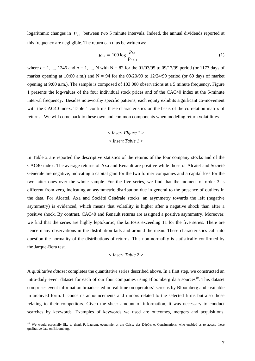logarithmic changes in  $P_{tn}$  between two 5 minute intervals. Indeed, the annual dividends reported at this frequency are negligible. The return can thus be written as:

$$
R_{t,n} = 100 \log \frac{P_{t,n}}{P_{t,n-1}}
$$
 (1)

where  $t = 1, ..., 1246$  and  $n = 1, ..., N$  with  $N = 82$  for the 01/03/95 to 09/17/99 period (or 1177 days of market opening at 10:00 a.m.) and  $N = 94$  for the 09/20/99 to 12/24/99 period (or 69 days of market opening at 9:00 a.m.). The sample is composed of 103 000 observations at a 5 minute frequency. Figure 1 presents the log-values of the four individual stock prices and of the CAC40 index at the 5-minute interval frequency. Besides noteworthy specific patterns, each equity exhibits significant co-movement with the CAC40 index. Table 1 confirms these characteristics on the basis of the correlation matrix of returns. We will come back to these own and common components when modeling return volatilities.

# < *Insert Figure 1* > < *Insert Table 1* >

In Table 2 are reported the descriptive statistics of the returns of the four company stocks and of the CAC40 index. The average returns of Axa and Renault are positive while those of Alcatel and Société Générale are negative, indicating a capital gain for the two former companies and a capital loss for the two latter ones over the whole sample. For the five series, we find that the moment of order 3 is different from zero, indicating an asymmetric distribution due in general to the presence of outliers in the data. For Alcatel, Axa and Société Générale stocks, an asymmetry towards the left (negative asymmetry) is evidenced, which means that volatility is higher after a negative shock than after a positive shock. By contrast, CAC40 and Renault returns are assigned a positive asymmetry. Moreover, we find that the series are highly leptokurtic, the kurtosis exceeding 11 for the five series. There are hence many observations in the distribution tails and around the mean. These characteristics call into question the normality of the distributions of returns. This non-normality is statistically confirmed by the Jarque-Bera test.

#### *< Insert Table 2 >*

A *qualitative dataset* completes the quantitative series described above. In a first step, we constructed an intra-daily event dataset for each of our four companies using Bloomberg data sources<sup>10</sup>. This dataset comprises event information broadcasted in real time on operators' screens by Bloomberg and available in archived form. It concerns announcements and rumors related to the selected firms but also those relating to their competitors. Given the sheer amount of information, it was necessary to conduct searches by keywords. Examples of keywords we used are outcomes, mergers and acquisitions,

<sup>&</sup>lt;sup>10</sup> We would especially like to thank P. Laurent, economist at the Caisse des Dépôts et Consignations, who enabled us to access these qualitative data on Bloomberg.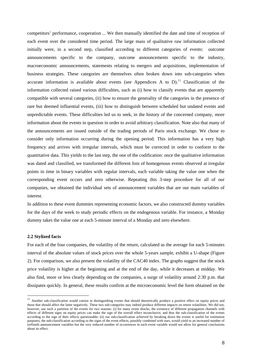competitors' performance, cooperation ... We then manually identified the date and time of reception of each event over the considered time period. The large mass of qualitative raw information collected initially were, in a second step, classified according to different categories of events: outcome announcements specific to the company, outcome announcements specific to the industry, macroeconomic announcements, statements relating to mergers and acquisitions, implementation of business strategies. These categories are themselves often broken down into sub-categories when accurate information is available about events (see Appendices A to  $D$ ).<sup>11</sup> Classification of the information collected raised various difficulties, such as (i) how to classify events that are apparently compatible with several categories, (ii) how to ensure the generality of the categories in the presence of rare but deemed influential events, (iii) how to distinguish between scheduled but undated events and unpredictable events. These difficulties led us to seek, in the history of the concerned company, more information about the events in question in order to avoid arbitrary classification. Note also that many of the announcements are issued outside of the trading periods of Paris stock exchange. We chose to consider only information occurring during the opening period. This information has a very high frequency and arrives with irregular intervals, which must be corrected in order to conform to the quantitative data. This yields to the last step, the one of the codification: once the qualitative information was dated and classified, we transformed the different lists of homogenous events observed at irregular points in time in binary variables with regular intervals, each variable taking the value one when the corresponding event occurs and zero otherwise. Repeating this 3-step procedure for all of our companies, we obtained the individual sets of announcement variables that are our main variables of interest.

In addition to these event dummies representing economic factors, we also constructed dummy variables for the days of the week to study periodic effects on the endogenous variable. For instance, a Monday dummy takes the value one at each 5-minute interval of a Monday and zero elsewhere.

#### **2.2 Stylized facts**

<u>.</u>

For each of the four companies, the volatility of the return, calculated as the average for each 5-minutes interval of the absolute values of stock prices over the whole 5-years sample, exhibit a U-shape (Figure 2). For comparison, we also present the volatility of the CAC40 index. The graphs suggest that the stock price volatility is higher at the beginning and at the end of the day, while it decreases at midday. We also find, more or less clearly depending on the companies, a surge of volatility around 2:30 p.m. that dissipates quickly. In general, these results confirm at the microeconomic level the form obtained on the

<sup>&</sup>lt;sup>11</sup> Another sub-classification would consist in distinguishing events that should theoretically produce a positive effect on equity prices and those that should affect the latter negatively. These two sub-categories may indeed produce different impacts on return volatilities. We did not, however, use such a partition of the events for two reasons: (i) for many event shocks, the existence of different propagation channels with effects of different signs on equity prices can make the sign of the overall effect inconclusive, and thus the sub-classification of the events according to the sign of their effects questionable; (ii) our sub-classification achieved by breaking down the events is useful for estimation purposes; the sub-classification according to the signs of the event effects, possibly combined with ours, would yield to an increased number of (refined) announcement variables but the very reduced number of occurrences in each event variable would not allow for general conclusions about its effect.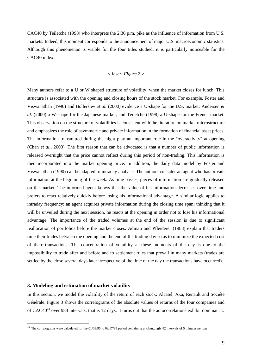CAC40 by Teiletche (1998) who interprets the 2:30 p.m. pike as the influence of information from U.S. markets. Indeed, this moment corresponds to the announcement of major U.S. macroeconomic statistics. Although this phenomenon is visible for the four titles studied, it is particularly noticeable for the CAC40 index.

# *< Insert Figure 2 >*

Many authors refer to a U or W shaped structure of volatility, when the market closes for lunch. This structure is associated with the opening and closing hours of the stock market. For example, Foster and Viswanathan (1990) and Bollerslev *et al.* (2000) evidence a U-shape for the U.S. market; Andersen *et al.* (2000) a W-shape for the Japanese market; and Teiletche (1998) a U-shape for the French market. This observation on the structure of volatilities is consistent with the literature on market microstructure and emphasizes the role of asymmetric and private information in the formation of financial asset prices. The information transmitted during the night play an important role in the "overactivity" at opening (Chan *et al.,* 2000). The first reason that can be advocated is that a number of public information is released overnight that the price cannot reflect during this period of non-trading. This information is then incorporated into the market opening price. In addition, the daily data model by Foster and Viswanathan (1990) can be adapted to intraday analysis. The authors consider an agent who has private information at the beginning of the week. As time passes, pieces of information are gradually released on the market. The informed agent knows that the value of his information decreases over time and prefers to react relatively quickly before losing his informational advantage. A similar logic applies to intraday frequency: an agent acquires private information during the closing time span; thinking that it will be unveiled during the next session, he reacts at the opening in order not to lose his informational advantage. The importance of the traded volumes at the end of the session is due to significant reallocation of portfolios before the market closes. Admati and Pfleiderer (1988) explain that traders time their trades between the opening and the end of the trading day so as to minimize the expected cost of their transactions. The concentration of volatility at these moments of the day is due to the impossibility to trade after and before and to settlement rules that prevail in many markets (trades are settled by the close several days later irrespective of the time of the day the transactions have occurred).

#### **3. Modeling and estimation of market volatility**

1

In this section, we model the volatility of the return of each stock: Alcatel, Axa, Renault and Société Générale. Figure 3 shows the correlograms of the absolute values of returns of the four companies and of CAC40<sup>12</sup> over 984 intervals, that is 12 days. It turns out that the autocorrelations exhibit dominant U

<sup>&</sup>lt;sup>12</sup> The correlograms were calculated for the 01/03/95 to 09/17/99 period containing unchangingly 82 intervals of 5 minutes per day.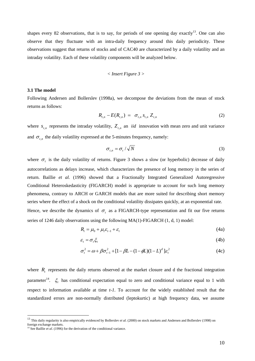shapes every 82 observations, that is to say, for periods of one opening day exactly<sup>13</sup>. One can also observe that they fluctuate with an intra-daily frequency around this daily periodicity. These observations suggest that returns of stocks and of CAC40 are characterized by a daily volatility and an intraday volatility. Each of these volatility components will be analyzed below.

$$
<
$$
 Insert Figure 3  $>$ 

#### **3.1 The model**

Following Andersen and Bollerslev (1998a), we decompose the deviations from the mean of stock returns as follows:

$$
R_{t,n} - E(R_{t,n}) = \sigma_{t,n} S_{t,n} Z_{t,n}
$$
 (2)

where  $s_{t}$  represents the intraday volatility,  $Z_{t}$  an *iid* innovation with mean zero and unit variance and  $\sigma_{t,n}$  the daily volatility expressed at the 5-minutes frequency, namely:

$$
\sigma_{t,n} = \sigma_t / \sqrt{N} \tag{3}
$$

where  $\sigma_t$  is the daily volatility of returns. Figure 3 shows a slow (or hyperbolic) decrease of daily autocorrelations as delays increase, which characterizes the presence of long memory in the series of return. Baillie *et al.* (1996) showed that a Fractionally Integrated Generalized Autoregressive Conditional Heteroskedasticity (FIGARCH) model is appropriate to account for such long memory phenomena, contrary to ARCH or GARCH models that are more suited for describing short memory series where the effect of a shock on the conditional volatility dissipates quickly, at an exponential rate. Hence, we describe the dynamics of  $\sigma_t$  as a FIGARCH-type representation and fit our five returns series of 1246 daily observations using the following MA(1)-FIGARCH (1, d, 1) model:

$$
R_t = \mu_0 + \mu_1 \varepsilon_{t-1} + \varepsilon_t \tag{4a}
$$

$$
\varepsilon_t = \sigma_t \xi_t \tag{4b}
$$

$$
\sigma_t^2 = \omega + \beta \sigma_{t-1}^2 + [1 - \beta L - (1 - \phi L)(1 - L)^d] \varepsilon_t^2
$$
 (4c)

where  $R<sub>i</sub>$  represents the daily returns observed at the market closure and d the fractional integration parameter<sup>14</sup>.  $\xi_t$  has conditional expectation equal to zero and conditional variance equal to 1 with respect to information available at time *t-1*. To account for the widely established result that the standardized errors are non-normally distributed (leptokurtic) at high frequency data, we assume

<sup>&</sup>lt;sup>13</sup> This daily regularity is also empirically evidenced by Bollerslev *et al.* (2000) on stock markets and Andersen and Bollerslev (1998) on foreign exchange markets.

<sup>&</sup>lt;sup>14</sup> See Baillie *et al.* (1996) for the derivation of the conditional variance.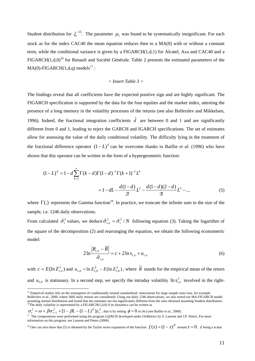Student distribution for  $\zeta_t^{15}$ . The parameter  $\mu_1$  was found to be systematically insignificant. For each stock as for the index CAC40 the mean equation reduces then to a MA(0) with or without a constant term, while the conditional variance is given by a FIGARCH(1,d,1) for Alcatel, Axa and CAC40 and a FIGARCH $(1,d,0)^{16}$  for Renault and Société Générale. Table 2 presents the estimated parameters of the  $MA(0)-FIGARCH(1,d,q)$  models<sup>17</sup> :

#### *< Insert Table 3 >*

The findings reveal that all coefficients have the expected positive sign and are highly significant. The FIGARCH specification is supported by the data for the four equities and the market index, attesting the presence of a long memory in the volatility processes of the returns (see also Bollerslev and Mikkelsen, 1996). Indeed, the fractional integration coefficients  $\hat{d}$  are between 0 and 1 and are significantly different from 0 and 1, leading to reject the GARCH and IGARCH specifications. The set of estimates allow for assessing the value of the daily conditional volatility. The difficulty lying in the treatment of the fractional difference operator  $(1 - L)^d$  can be overcome thanks to Baillie *et al.* (1996) who have shown that this operator can be written in the form of a hypergeometric function:

$$
(1 - L)^d = 1 - d \sum_{k=1}^{\infty} \Gamma(k - d) \Gamma(1 - d)^{-1} \Gamma(k + 1)^{-1} L^k
$$
  
=  $1 - dL - \frac{d(1 - d)}{2!} L^2 - \frac{d(1 - d)(2 - d)}{3!} L^3 - \dots$  (5)

where  $\Gamma$ (.) represents the Gamma function<sup>18</sup>. In practice, we truncate the infinite sum to the size of the sample, i.e. 1246 daily observations.

From calculated  $\hat{\sigma}_t^2$  values, we deduce  $\hat{\sigma}_{t,n}^2 = \hat{\sigma}_t^2/N$  following equation (3). Taking the logarithm of the square of the decomposition (2) and rearranging the equation, we obtain the following econometric model:

$$
2\ln\frac{\left|R_{t,n}-\overline{R}\right|}{\hat{\sigma}_{t,n}} = c + 2\ln s_{t,n} + u_{t,n}
$$
\n(6)

with  $c = E(\ln Z_{t,n}^2)$  and  $u_{t,n} = \ln Z_{t,n}^2 - E(\ln Z_{t,n}^2)$ , where  $\overline{R}$  stands for the empirical mean of the return and  $u_{t,n}$  is stationary. In a second step, we specify the intraday volatility  $\ln s_{t,n}^2$  involved in the right-

 $\sigma_t^2 = \omega + \beta \sigma_{t-1}^2 + [1 - \beta L - (1 - L)^d] \varepsilon_t^2$ , that is by setting  $\phi = 0$  in (4c) (see Baillie *et al.*, 2000).

<sup>&</sup>lt;sup>15</sup> Empirical studies rely on the assumption of conditionally normal standardized innovations for large sample sizes (see, for example

Bollerslev *et al.*, 2000, where 3002 daily returns are considered). Using our daily 1246 observations, we also tested our MA-FIGARCH model and distribution and found that the estimates are not significantly different from the ones obtained assuming Student distribution.<br><sup>16</sup>The daily volatility is represented by a FIGARCH(1,d,0) if its dynamics can be written

<sup>&</sup>lt;sup>17</sup> The computations were performed using the program G@RCH developed under OxMetrics by S. Laurent and J.P. Peters. For more information on this program, see Laurent and Peters (2006).

<sup>&</sup>lt;sup>18</sup> One can also show that (5) is obtained by the Taylor series expansion of the function  $f(z) = (1 - z)^d$  around  $z = 0$ , *z* being a scalar.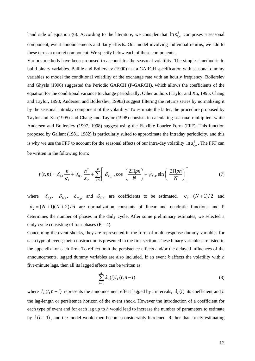hand side of equation (6). According to the literature, we consider that  $\ln s_{t,n}^2$  comprises a seasonal component, event announcements and daily effects. Our model involving individual returns, we add to these terms a market component. We specify below each of these components.

Various methods have been proposed to account for the seasonal volatility. The simplest method is to build binary variables. Baillie and Bollerslev (1990) use a GARCH specification with seasonal dummy variables to model the conditional volatility of the exchange rate with an hourly frequency. Bollerslev and Ghysls (1996) suggested the Periodic GARCH (P-GARCH), which allows the coefficients of the equation for the conditional variance to change periodically. Other authors (Taylor and Xu, 1995; Chang and Taylor, 1998; Andersen and Bollerslev, 1998a) suggest filtering the returns series by normalizing it by the seasonal intraday component of the volatility. To estimate the latter, the procedure proposed by Taylor and Xu (1995) and Chang and Taylor (1998) consists in calculating seasonal multipliers while Andersen and Bollerslev (1997, 1998) suggest using the Flexible Fourier Form (FFF). This function proposed by Gallant (1981, 1982) is particularly suited to approximate the intraday periodicity, and this is why we use the FFF to account for the seasonal effects of our intra-day volatility  $\ln s_{t,n}^2$ . The FFF can be written in the following form:

$$
f(t,n) = \delta_{0,1} \frac{n}{\kappa_1} + \delta_{0,2} \frac{n^2}{\kappa_2} + \sum_{p=1}^P \left[ \delta_{C,p} \cdot \cos \left( \frac{2 \Pi p n}{N} \right) + \delta_{S,p} \sin \left( \frac{2 \Pi p n}{N} \right) \right]
$$
(7)

where  $\delta_{0,1}$ ,  $\delta_{0,2}$ ,  $\delta_{C,p}$  and  $\delta_{S,p}$  are coefficients to be estimated,  $\kappa_1 = (N+1)/2$  and  $\kappa$ <sub>2</sub> =  $(N+1)(N+2)/6$  are normalization constants of linear and quadratic functions and P determines the number of phases in the daily cycle. After some preliminary estimates, we selected a daily cycle consisting of four phases ( $P = 4$ ).

Concerning the event shocks, they are represented in the form of multi-response dummy variables for each type of event; their construction is presented in the first section. These binary variables are listed in the appendix for each firm. To reflect both the persistence effects and/or the delayed influences of the announcements, lagged dummy variables are also included. If an event *k* affects the volatility with *h*  five-minute lags, then all its lagged effects can be written as:

$$
\sum_{i=0}^{h} \lambda_k(i) I_k(t, n-i) \tag{8}
$$

where  $I_k(t, n-i)$  represents the announcement effect lagged by *i* intervals,  $\lambda_k(i)$  its coefficient and *h* the lag-length or persistence horizon of the event shock. However the introduction of a coefficient for each type of event and for each lag up to *h* would lead to increase the number of parameters to estimate by  $k(h+1)$ , and the model would then become considerably burdened. Rather than freely estimating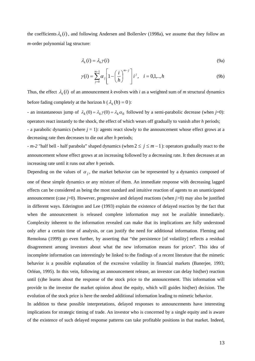the coefficients  $\lambda_k(i)$ , and following Andersen and Bollerslev (1998a), we assume that they follow an *m*-order polynomial lag structure:

$$
\lambda_k(i) = \lambda_k \gamma(i) \tag{9a}
$$

$$
\gamma(i) = \sum_{j=0}^{m-1} \alpha_j \left[ 1 - \left(\frac{i}{h}\right)^{m-j} \right] i^j, \quad i = 0, 1, ..., h
$$
 (9b)

Thus, the effect  $\lambda_k(i)$  of an announcement *k* evolves with *i* as a weighted sum of *m* structural dynamics before fading completely at the horizon  $h(\lambda_k(h) = 0)$ :

- an instantaneous jump of  $\lambda_k$  (0) =  $\lambda_k \gamma$  (0) =  $\lambda_k \alpha_0$  followed by a semi-parabolic decrease (when *j*=0): operators react instantly to the shock, the effect of which wears off gradually to vanish after *h* periods;

- a parabolic dynamics (where  $j = 1$ ): agents react slowly to the announcement whose effect grows at a decreasing rate then decreases to die out after *h* periods;

*- m-2* "half bell - half parabola" shaped dynamics (when  $2 \le j \le m-1$ ): operators gradually react to the announcement whose effect grows at an increasing followed by a decreasing rate. It then decreases at an increasing rate until it runs out after *h* periods*.* 

Depending on the values of  $\alpha_j$ , the market behavior can be represented by a dynamics composed of one of these simple dynamics or any mixture of them. An immediate response with decreasing lagged effects can be considered as being the most standard and intuitive reaction of agents to an unanticipated announcement (case *j*=0). However, progressive and delayed reactions (when *j>*0) may also be justified in different ways. Ederington and Lee (1993) explain the existence of delayed reaction by the fact that when the announcement is released complete information may not be available immediately. Complexity inherent to the information revealed can make that its implications are fully understood only after a certain time of analysis, or can justify the need for additional information. Fleming and Remolona (1999) go even further, by asserting that "the persistence [of volatility] reflects a residual disagreement among investors about what the new information means for prices". This idea of incomplete information can interestingly be linked to the findings of a recent literature that the mimetic behavior is a possible explanation of the excessive volatility in financial markets (Banerjee, 1993; Orléan, 1995). In this vein, following an announcement release, an investor can delay his(her) reaction until (s)he learns about the response of the stock price to the announcement. This information will provide to the investor the market opinion about the equity, which will guides his(her) decision. The evolution of the stock price is here the needed additional information leading to mimetic behavior.

In addition to these possible interpretations, delayed responses to announcements have interesting implications for strategic timing of trade. An investor who is concerned by a single equity and is aware of the existence of such delayed response patterns can take profitable positions in that market. Indeed,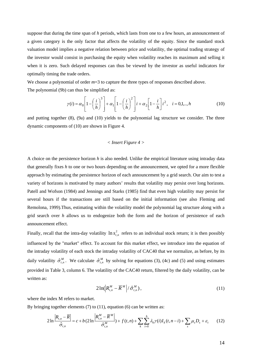suppose that during the time span of *h* periods, which lasts from one to a few hours, an announcement of a given category is the only factor that affects the volatility of the equity. Since the standard stock valuation model implies a negative relation between price and volatility, the optimal trading strategy of the investor would consist in purchasing the equity when volatility reaches its maximum and selling it when it is zero. Such delayed responses can thus be viewed by the investor as useful indicators for optimally timing the trade orders.

We choose a polynomial of order  $m=3$  to capture the three types of responses described above.

The polynomial (9b) can thus be simplified as:

$$
\gamma(i) = \alpha_0 \left[ 1 - \left(\frac{i}{h}\right)^3 \right] + \alpha_1 \left[ 1 - \left(\frac{i}{h}\right)^2 \right] i + \alpha_2 \left[ 1 - \frac{i}{h} \right] i^2, \quad i = 0, 1, \dots, h
$$
\n(10)

and putting together (8), (9a) and (10) yields to the polynomial lag structure we consider. The three dynamic components of (10) are shown in Figure 4.

#### *< Insert Figure 4 >*

A choice on the persistence horizon *h* is also needed. Unlike the empirical literature using intraday data that generally fixes *h* to one or two hours depending on the announcement, we opted for a more flexible approach by estimating the persistence horizon of each announcement by a grid search. Our aim to test a variety of horizons is motivated by many authors' results that volatility may persist over long horizons. Patell and Wofson (1984) and Jennings and Starks (1985) find that even high volatility may persist for several hours if the transactions are still based on the initial information (see also Fleming and Remolona, 1999).Thus, estimating within the volatility model the polynomial lag structure along with a grid search over *h* allows us to endogenize both the form and the horizon of persistence of each announcement effect.

Finally, recall that the intra-day volatility  $\ln s_{t,n}^2$  refers to an individual stock return; it is then possibly influenced by the "market" effect. To account for this market effect, we introduce into the equation of the intraday volatility of each stock the intraday volatility of CAC40 that we normalize, as before, by its daily volatility  $\hat{\sigma}_{t,n}^M$ . We calculate  $\hat{\sigma}_{t,n}^M$  by solving for equations (3), (4c) and (5) and using estimates provided in Table 3, column 6. The volatility of the CAC40 return, filtered by the daily volatility, can be written as:

$$
2\ln\left(R_{t,n}^M - \overline{R}^M\right) / \hat{\sigma}_{t,n}^M\right),\tag{11}
$$

where the index M refers to market.

By bringing together elements  $(7)$  to  $(11)$ , equation  $(6)$  can be written as:

$$
2\ln\frac{\left|R_{t,n}-\overline{R}\right|}{\hat{\sigma}_{t,n}} = c + b\left(2\ln\frac{\left|R_{t,n}^M-\overline{R}^M\right|}{\hat{\sigma}_{t,n}^M}\right) + f(t,n) + \sum_{k} \sum_{i=0}^h \lambda_k \gamma(i) I_k(t,n-i) + \sum_{s} \mu_s D_s + \varepsilon_t \tag{12}
$$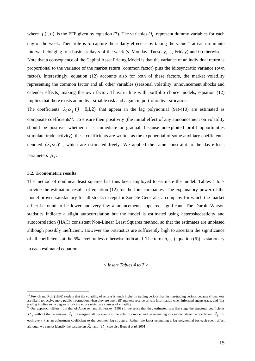where  $f(t, n)$  is the FFF given by equation (7). The variables  $D<sub>s</sub>$  represent dummy variables for each day of the week. Their role is to capture the « daily effects » by taking the value 1 at each 5-minute interval belonging to a business-day *s* of the week (*s*=Monday, Tuesday,..., Friday) and 0 otherwise<sup>19</sup>. Note that a consequence of the Capital Asset Pricing Model is that the variance of an individual return is proportional to the variance of the market return (common factor) plus the idiosyncratic variance (own factor). Interestingly, equation (12) accounts also for both of these factors, the market volatility representing the common factor and all other variables (seasonal volatility, announcement shocks and calendar effects) making the own factor. Thus, in line with portfolio choice models, equation (12) implies that there exists an undiversifiable risk and a gain in portfolio diversification.

The coefficients  $\lambda_k \alpha_j$  ( $j = 0,1,2$ ) that appear in the lag polynomial (9a)-(10) are estimated as composite coefficients<sup>20</sup>. To ensure their positivity (the initial effect of any announcement on volatility should be positive, whether it is immediate or gradual, because unexploited profit opportunities stimulate trade activity), these coefficients are written as the exponential of some auxiliary coefficients, denoted  $(\lambda_i \alpha_j)'$ , which are estimated freely. We applied the same constraint to the day-effects parameters  $\mu_s$ .

#### **3.2. Econometric results**

1

The method of nonlinear least squares has thus been employed to estimate the model. Tables 4 to 7 provide the estimation results of equation (12) for the four companies. The explanatory power of the model proved satisfactory for all stocks except for Société Générale, a company for which the market effect is found to be lower and very few announcements appeared significant. The Durbin-Watson statistics indicate a slight autocorrelation but the model is estimated using heteroskedasticity and autocorrelation (HAC) consistent Non-Linear Least Squares method, so that the estimates are unbiased although possibly inefficient. However the t-statistics are sufficiently high to ascertain the significance of all coefficients at the 5% level, unless otherwise indicated. The term  $\hat{u}_{t,n}$  (equation (6)) is stationary in each estimated equation.

$$
<
$$
 Insert Tables 4 to 7  $>$ 

<sup>&</sup>lt;sup>19</sup> French and Roll (1986) explain that the volatility of returns is much higher in trading periods than in non-trading periods because (i) markets are likely to receive more public information when they are open; (ii) markets receive private information when informed agents trade; and (iii) trading implies some degree of pricing errors which are sources of volatility.<br><sup>20</sup> Our approach differs from that of Andersen and Bollerslev (1998) in the sense that they estimated in a first stage the structural coeffic

 $\alpha_i$  without the parameters  $\lambda_k$  by merging all the events in the volatility model and re-estimating in a second stage the coefficient  $\lambda_k$  for each event *k* as an adjustment coefficient to the common lag structure. Rather, we favor estimating a lag polynomial for each event effect although we cannot identify the parameters  $\lambda_k$  and  $\alpha_i$  (see also Boubel et *al.* 2001).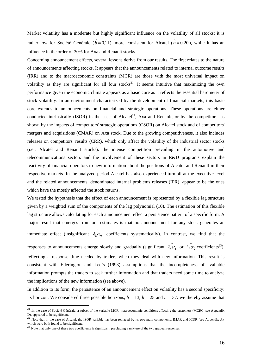Market volatility has a moderate but highly significant influence on the volatility of all stocks: it is rather low for Société Générale ( $\hat{b} = 0.11$ ), more consistent for Alcatel ( $\hat{b} = 0.20$ ), while it has an influence in the order of 30% for Axa and Renault stocks.

Concerning announcement effects, several lessons derive from our results. The first relates to the nature of announcements affecting stocks. It appears that the announcements related to internal outcome results (IRR) and to the macroeconomic constraints (MCR) are those with the most universal impact on volatility as they are significant for all four stocks<sup>21</sup>. It seems intuitive that maximizing the own performance given the economic climate appears as a basic core as it reflects the essential barometer of stock volatility. In an environment characterized by the development of financial markets, this basic core extends to announcements on financial and strategic operations. These operations are either conducted intrinsically (ISOR) in the case of Alcatel<sup>22</sup>, Axa and Renault, or by the competitors, as shown by the impacts of competitors' strategic operations (CSOR) on Alcatel stock and of competitors' mergers and acquisitions (CMAR) on Axa stock. Due to the growing competitiveness, it also includes releases on competitors' results (CRR), which only affect the volatility of the industrial sector stocks (i.e., Alcatel and Renault stocks): the intense competition prevailing in the automotive and telecommunications sectors and the involvement of these sectors in R&D programs explain the reactivity of financial operators to new information about the positions of Alcatel and Renault in their respective markets. In the analyzed period Alcatel has also experienced turmoil at the executive level and the related announcements, denominated internal problems releases (IPR), appear to be the ones which have the mostly affected the stock returns.

We tested the hypothesis that the effect of each announcement is represented by a flexible lag structure given by a weighted sum of the components of the lag polynomial (10). The estimation of this flexible lag structure allows calculating for each announcement effect a persistence pattern of a specific form. A major result that emerges from our estimates is that no announcement for any stock generates an immediate effect (insignificant  $\lambda_k \alpha_0$  coefficients systematically). In contrast, we find that the responses to announcements emerge slowly and gradually (significant  $\hat{\lambda_k \alpha_1}$  or  $\hat{\lambda_k \alpha_2}$  coefficients<sup>23</sup>), reflecting a response time needed by traders when they deal with new information. This result is consistent with Ederington and Lee's (1993) assumptions that the incompleteness of available information prompts the traders to seek further information and that traders need some time to analyze

the implications of the new information (see above).

1

In addition to its form, the persistence of an announcement effect on volatility has a second specificity: its horizon. We considered three possible horizons,  $h = 13$ ,  $h = 25$  and  $h = 37$ : we thereby assume that

<sup>&</sup>lt;sup>21</sup> In the case of Société Générale, a subset of the variable MCR, macroeconomic conditions affecting the customers (MCRC, see Appendix D), appeared to be significant.<br><sup>22</sup> Note that in the case of Alcatel, the ISOR variable has been replaced by its two main components, IMAR and ICDR (see Appendix A),

which were both found to be significant.<br><sup>23</sup> Note that only one of these two coefficients is significant, precluding a mixture of the two gradual responses.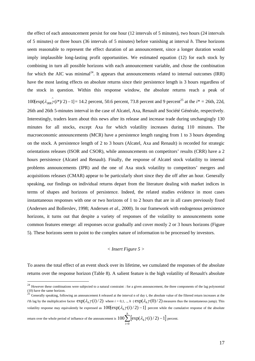the effect of each announcement persist for one hour (12 intervals of 5 minutes), two hours (24 intervals of 5 minutes) or three hours (36 intervals of 5 minutes) before vanishing at interval *h*. These horizons seem reasonable to represent the effect duration of an announcement, since a longer duration would imply implausible long-lasting profit opportunities. We estimated equation (12) for each stock by combining in turn all possible horizons with each announcement variable, and chose the combination for which the AIC was minimal<sup>24</sup>. It appears that announcements related to internal outcomes (IRR) have the most lasting effects on absolute returns since their persistence length is 3 hours regardless of the stock in question. Within this response window, the absolute returns reach a peak of  $100[\exp(\lambda_{IRR} \hat{\gamma}(i^*)/2) - 1] = 14.2$  percent, 50.6 percent, 73.8 percent and 9 percent<sup>25</sup> at the  $i^* = 26$ th, 22d, 26th and 26th 5-minutes interval in the case of Alcatel, Axa, Renault and Société Générale, respectively. Interestingly, traders learn about this news after its release and increase trade during unchangingly 130 minutes for all stocks, except Axa for which volatility increases during 110 minutes. The macroeconomic announcements (MCR) have a persistence length ranging from 1 to 3 hours depending on the stock. A persistence length of 2 to 3 hours (Alcatel, Axa and Renault) is recorded for strategic orientations releases (ISOR and CSOR), while announcements on competitors' results (CRR) have a 2 hours persistence (Alcatel and Renault). Finally, the response of Alcatel stock volatility to internal problems announcements (IPR) and the one of Axa stock volatility to competitors' mergers and acquisitions releases (CMAR) appear to be particularly short since they die off after an hour. Generally speaking, our findings on individual returns depart from the literature dealing with market indices in terms of shapes and horizons of persistence. Indeed, the related studies evidence in most cases instantaneous responses with one or two horizons of 1 to 2 hours that are in all cases previously fixed (Andersen and Bollerslev, 1998; Andersen *et al.*, 2000). In our framework with endogenous persistence horizons, it turns out that despite a variety of responses of the volatility to announcements some common features emerge: all responses occur gradually and cover mostly 2 or 3 hours horizons (Figure 5). These horizons seem to point to the complex nature of information to be processed by investors.

# *< Insert Figure 5 >*

To assess the total effect of an event shock over its lifetime, we cumulated the responses of the absolute returns over the response horizon (Table 8). A salient feature is the high volatility of Renault's absolute

return over the whole period of influence of the announcement is  $100\sum_{i=0} \left[\exp(\lambda_k\gamma(i)/2)-1\right]$ *h i <sup>k</sup> i*  $\mathbf{0}$  $100$   $\sum$   $\exp(\lambda_k \gamma(i)/2) - 1$  percent.

<u>.</u>

 $^{24}$  However these combinations were subjected to a natural constraint : for a given announcement, the three components of the lag polynomial (10) have the same horizon.<br><sup>25</sup> Generally speaking, following an announcement *k* released at the interval n of day t, the absolute value of the filtered return increases at the

*i*'th lag by the multiplicative factor  $exp(\lambda_i \gamma(i)/2)$  where  $i = 0,1, ..., h$  ( $exp(\lambda_i \gamma(0)/2)$  measures thus the instantaneous jump). This volatility response may equivalently be expressed as  $100[\exp(\lambda_k \gamma(i)/2) - 1]$  percent while the cumulative response of the absolute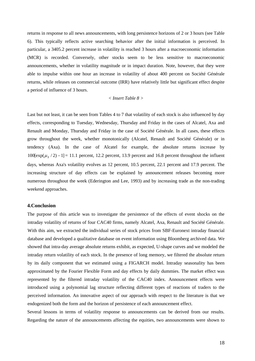returns in response to all news announcements, with long persistence horizons of 2 or 3 hours (see Table 6). This typically reflects active searching behavior after the initial information is perceived. In particular, a 3405.2 percent increase in volatility is reached 3 hours after a macroeconomic information (MCR) is recorded. Conversely, other stocks seem to be less sensitive to macroeconomic announcements, whether in volatility magnitude or in impact duration. Note, however, that they were able to impulse within one hour an increase in volatility of about 400 percent on Société Générale returns, while releases on commercial outcome (IRR) have relatively little but significant effect despite a period of influence of 3 hours.

# *< Insert Table 8 >*

Last but not least, it can be seen from Tables 4 to 7 that volatility of each stock is also influenced by day effects, corresponding to Tuesday, Wednesday, Thursday and Friday in the cases of Alcatel, Axa and Renault and Monday, Thursday and Friday in the case of Société Générale. In all cases, these effects grow throughout the week, whether monotonically (Alcatel, Renault and Société Générale) or in tendency (Axa). In the case of Alcatel for example, the absolute returns increase by  $100[\exp(\mu_s/2) - 1] = 11.1$  percent, 12.2 percent, 13.9 percent and 16.8 percent throughout the influent days, whereas Axa's volatility evolves as 12 percent, 10.5 percent, 22.1 percent and 17.9 percent. The increasing structure of day effects can be explained by announcement releases becoming more numerous throughout the week (Ederington and Lee, 1993) and by increasing trade as the non-trading weekend approaches.

#### **4.Conclusion**

The purpose of this article was to investigate the persistence of the effects of event shocks on the intraday volatility of returns of four CAC40 firms, namely Alcatel, Axa, Renault and Société Générale. With this aim, we extracted the individual series of stock prices from SBF-Euronext intraday financial database and developed a qualitative database on event information using Bloomberg archived data. We showed that intra-day average absolute returns exhibit, as expected, U-shape curves and we modeled the intraday return volatility of each stock. In the presence of long memory, we filtered the absolute return by its daily component that we estimated using a FIGARCH model. Intraday seasonality has been approximated by the Fourier Flexible Form and day effects by daily dummies. The market effect was represented by the filtered intraday volatility of the CAC40 index. Announcement effects were introduced using a polynomial lag structure reflecting different types of reactions of traders to the perceived information. An innovative aspect of our approach with respect to the literature is that we endogenized both the form and the horizon of persistence of each announcement effect.

Several lessons in terms of volatility response to announcements can be derived from our results. Regarding the nature of the announcements affecting the equities, two announcements were shown to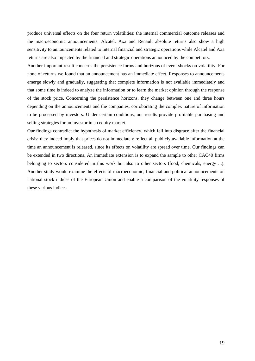produce universal effects on the four return volatilities: the internal commercial outcome releases and the macroeconomic announcements. Alcatel, Axa and Renault absolute returns also show a high sensitivity to announcements related to internal financial and strategic operations while Alcatel and Axa returns are also impacted by the financial and strategic operations announced by the competitors.

Another important result concerns the persistence forms and horizons of event shocks on volatility. For none of returns we found that an announcement has an immediate effect. Responses to announcements emerge slowly and gradually, suggesting that complete information is not available immediately and that some time is indeed to analyze the information or to learn the market opinion through the response of the stock price. Concerning the persistence horizons, they change between one and three hours depending on the announcements and the companies, corroborating the complex nature of information to be processed by investors. Under certain conditions, our results provide profitable purchasing and selling strategies for an investor in an equity market.

Our findings contradict the hypothesis of market efficiency, which fell into disgrace after the financial crisis; they indeed imply that prices do not immediately reflect all publicly available information at the time an announcement is released, since its effects on volatility are spread over time. Our findings can be extended in two directions. An immediate extension is to expand the sample to other CAC40 firms belonging to sectors considered in this work but also to other sectors (food, chemicals, energy ...). Another study would examine the effects of macroeconomic, financial and political announcements on national stock indices of the European Union and enable a comparison of the volatility responses of these various indices.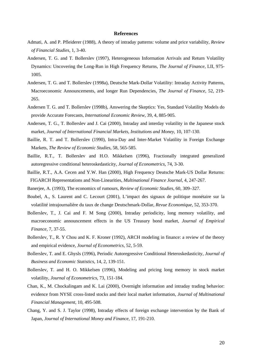#### **References**

- Admati, A. and P. Pfleiderer (1988), A theory of intraday patterns: volume and price variability, *Review of Financial Studies,* 1, 3-40.
- Andersen, T. G. and T. Bollerslev (1997), Heterogeneous Information Arrivals and Return Volatility Dynamics: Uncovering the Long-Run in High Frequency Returns, *The Journal of Finance*, LII, 975- 1005.
- Andersen, T. G. and T. Bollerslev (1998a), Deutsche Mark-Dollar Volatility: Intraday Activity Patterns, Macroeconomic Announcements, and longer Run Dependencies, *The Journal of Finance*, 52, 219- 265.
- Andersen T. G. and T. Bollerslev (1998b), Answering the Skeptics: Yes, Standard Volatility Models do provide Accurate Forecasts, *International Economic Review*, 39, 4, 885-905.
- Andersen, T. G., T. Bollerslev and J. Cai (2000), Intraday and interday volatility in the Japanese stock market, *Journal of International Financial Markets*, *Institutions and Money*, 10, 107-130.
- Baillie, R. T. and T. Bollerslev (1990), Intra-Day and Inter-Market Volatility in Foreign Exchange Markets, *The Review of Economic Studies*, 58, 565-585.
- Baillie, R.T., T. Bollerslev and H.O. Mikkelsen (1996), Fractionally integrated generalized autoregressive conditional heteroskedasticity, *Journal of Econometrics*, 74, 3-30.
- Baillie, R.T., A.A. Cecen and Y.W. Han (2000), High Frequency Deutsche Mark-US Dollar Returns: FIGARCH Representations and Non-Linearities, *Multinational Finance Journal*, 4, 247-267.
- Banerjee, A. (1993), The economics of rumours, *Review of Economic Studies*, 60, 309–327.
- Boubel, A., S. Laurent and C. Lecourt (2001), L'impact des signaux de politique monétaire sur la volatilité intrajournalière du taux de change Deutschmark-Dollar, *Revue Economique*, 52, 353-370.
- Bollerslev, T., J. Cai and F. M Song (2000), Intraday periodicity, long memory volatility, and macroeconomic announcement effects in the US Treasury bond market, *Journal of Empirical Finance,* 7, 37-55.
- Bollerslev, T., R. Y Chou and K. F. Kroner (1992), ARCH modeling in finance: a review of the theory and empirical evidence, *Journal of Econometrics,* 52, 5-59.
- Bollerslev, T. and E. Ghysls (1996), Periodic Autoregressive Conditional Heteroskedasticity, *Journal of Business and Economic Statistics*, 14, 2, 139-151.
- Bollerslev, T. and H. O. Mikkelsen (1996), Modeling and pricing long memory in stock market volatility, *Journal of Econometrics*, 73, 151-184.
- Chan, K., M. Chockalingam and K. Lai (2000), Overnight information and intraday trading behavior: evidence from NYSE cross-listed stocks and their local market information, *Journal of Multinational Financial Management*, 10, 495-508.
- Chang, Y. and S. J. Taylor (1998), Intraday effects of foreign exchange intervention by the Bank of Japan, *Journal of International Money and Finance*, 17, 191-210.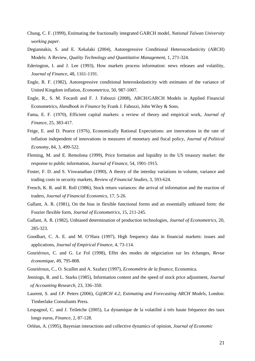- Chung, C. F. (1999), Estimating the fractionally integrated GARCH model, *National Taïwan University working paper.*
- Degiannakis, S. and E. Xekalaki (2004), Autoregressive Conditional Heteroscedasticity (ARCH) Models: A Review, *Quality Technology and Quantitative Management*, 1, 271-324.
- Ederington, I. and J. Lee (1993), How markets process information: news releases and volatility, *Journal of Finance*, 48, 1161-1191.
- Engle, R. F. (1982), Autoregressive conditional heteroskedasticity with estimates of the variance of United Kingdom inflation, *Econometrica,* 50, 987-1007.
- Engle, R., S. M. Focardi and F. J. Fabozzi (2008), ARCH/GARCH Models in Applied Financial Econometrics, *Handbook in Finance* by Frank J. Fabozzi, John Wiley & Sons.
- Fama, E. F. (1970), Efficient capital markets: a review of theory and empirical work, *Journal of Finance,* 25, 383-417.
- Feige, E. and D. Pearce (1976), Economically Rational Expectations: are innovations in the rate of inflation independent of innovations in measures of monetary and fiscal policy, *Journal of Political Economy*, 84, 3, 499-522.
- Fleming, M. and E. Remolona (1999), Price formation and liquidity in the US treasury market: the response to public information, *Journal of Finance*, 54, 1901-1915.
- Foster, F. D. and S. Viswanathan (1990), A theory of the interday variations in volume, variance and trading costs in security markets, *Review of Financial Studies,* 3, 593-624.
- French, K. R. and R. Roll (1986), Stock return variances: the arrival of information and the reaction of traders, *Journal of Financial Economics*, 17, 5-26.
- Gallant, A. R. (1981), On the bias in flexible functional forms and an essentially unbiased form: the Fourier flexible form, *Journal of Econometrics,* 15, 211-245.
- Gallant, A. R. (1982), Unbiased determination of production technologies, *Journal of Econometrics,* 20, 285-323.
- Goodhart, C. A. E. and M. O'Hara (1997), High frequency data in financial markets: issues and applications, *Journal of Empirical Finance,* 4, 73-114.
- Gouriéroux, C. and G. Le Fol (1998), Effet des modes de négociation sur les échanges, *Revue économique*, 49, 795-808.
- Gouriéroux, C., O. Scaillet and A. Szafarz (1997), *Econométrie de la finance*, Economica.
- Jennings, R. and L. Starks (1985), Information content and the speed of stock price adjustment, *Journal of Accounting Research,* 23, 336–350.
- Laurent, S. and J.P. Peters (2006), *G@RCH 4.2, Estimating and Forecasting ARCH Models*, London: Timberlake Consultants Press.
- Lespagnol, C. and J. Teiletche (2005), La dynamique de la volatilité à très haute fréquence des taux longs euros, *Finance*, 2, 87-128.
- Orléan, A. (1995), Bayesian interactions and collective dynamics of opinion, *Journal of Economic*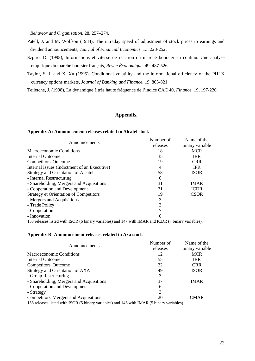*Behavior and Organisation*, 28, 257–274.

- Patell, J. and M. Wolfson (1984), The intraday speed of adjustment of stock prices to earnings and dividend announcements, *Journal of Financial Economics*, 13, 223-252.
- Szpiro, D. (1998), Informations et vitesse de réaction du marché boursier en continu. Une analyse empirique du marché boursier français, *Revue Économique*, 49, 487-526.

Taylor, S. J. and X. Xu (1995), Conditional volatility and the informational efficiency of the PHLX currency options markets, *Journal of Banking and Finance*, 19, 803-821.

Teiletche, J. (1998), La dynamique à très haute fréquence de l'indice CAC 40, *Finance*, 19, 197-220.

# **Appendix**

#### **Appendix A: Announcement releases related to Alcatel stock**

| Announcements                                 | Number of<br>releases | Name of the<br>binary variable |
|-----------------------------------------------|-----------------------|--------------------------------|
| Macroeconomic Conditions                      | 18                    | <b>MCR</b>                     |
| Internal Outcome                              | 35                    | <b>IRR</b>                     |
| <b>Competitors' Outcome</b>                   | 19                    | <b>CRR</b>                     |
| Internal Issues (Indictment of an Executive)  | 4                     | <b>IPR</b>                     |
| <b>Strategy and Orientation of Alcatel</b>    | 58                    | <b>ISOR</b>                    |
| - Internal Restructuring                      | 6                     |                                |
| - Shareholding, Mergers and Acquisitions      | 31                    | <b>IMAR</b>                    |
| - Cooperation and Development                 | 21                    | <b>ICDR</b>                    |
| <b>Strategy et Orientation of Competitors</b> | 19                    | <b>CSOR</b>                    |
| - Mergers and Acquisitions                    | 3                     |                                |
| - Trade Policy                                | 3                     |                                |
| - Cooperation                                 | 7                     |                                |
| - Innovation                                  | 6                     |                                |

153 releases listed with ISOR (6 binary variables) and 147 with IMAR and ICDR (7 binary variables).

#### **Appendix B: Announcement releases related to Axa stock**

| Announcements                                | Number of | Name of the     |
|----------------------------------------------|-----------|-----------------|
|                                              | releases  | binary variable |
| Macroeconomic Conditions                     | 12        | <b>MCR</b>      |
| Internal Outcome                             | 55        | <b>IRR</b>      |
| <b>Competitors' Outcome</b>                  | 22        | <b>CRR</b>      |
| Strategy and Orientation of AXA              | 49        | <b>ISOR</b>     |
| - Group Restructuring                        | 3         |                 |
| - Shareholding, Mergers and Acquisitions     | 37        | <b>IMAR</b>     |
| - Cooperation and Development                | 6         |                 |
| - Strategy                                   | 3         |                 |
| <b>Competitors' Mergers and Acquisitions</b> | 20        | <b>CMAR</b>     |

158 releases listed with ISOR (5 binary variables) and 146 with IMAR (5 binary variables).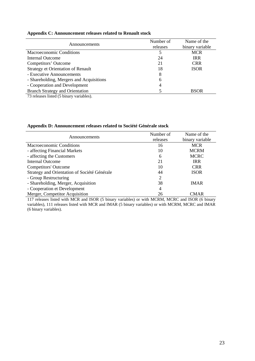| Announcements                             | Number of<br>releases | Name of the<br>binary variable |
|-------------------------------------------|-----------------------|--------------------------------|
| Macroeconomic Conditions                  | 5                     | <b>MCR</b>                     |
| Internal Outcome                          | 24                    | <b>IRR</b>                     |
| Competitors' Outcome                      | 21                    | <b>CRR</b>                     |
| <b>Strategy et Orientation of Renault</b> | 18                    | <b>ISOR</b>                    |
| - Executive Announcements                 | 8                     |                                |
| - Shareholding, Mergers and Acquisitions  | 6                     |                                |
| - Cooperation and Development             | 4                     |                                |
| <b>Branch Strategy and Orientation</b>    |                       | <b>BSOR</b>                    |

# **Appendix C: Announcement releases related to Renault stock**

73 releases listed (5 binary variables).

| Announcements                                | Number of      | Name of the     |
|----------------------------------------------|----------------|-----------------|
|                                              | releases       | binary variable |
| Macroeconomic Conditions                     | 16             | <b>MCR</b>      |
| - affecting Financial Markets                | 10             | <b>MCRM</b>     |
| - affecting the Customers                    | 6              | <b>MCRC</b>     |
| Internal Outcome                             | 21             | <b>IRR</b>      |
| <b>Competitors' Outcome</b>                  | 10             | <b>CRR</b>      |
| Strategy and Orientation of Société Générale | 44             | <b>ISOR</b>     |
| - Group Restructuring                        | 2              |                 |
| - Shareholding, Merger, Acquisition          | 38             | <b>IMAR</b>     |
| - Cooperation et Development                 | $\overline{4}$ |                 |
| Merger, Competitor Acquisition               | 26             | CMAR            |

117 releases listed with MCR and ISOR (5 binary variables) or with MCRM, MCRC and ISOR (6 binary variables), 111 releases listed with MCR and IMAR (5 binary variables) or with MCRM, MCRC and IMAR (6 binary variables).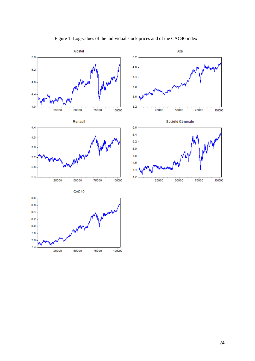

Figure 1: Log-values of the individual stock prices and of the CAC40 index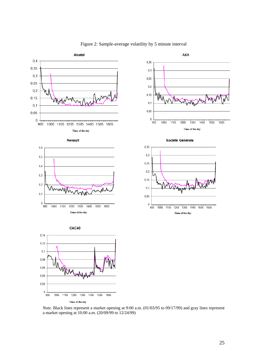

## Figure 2: Sample-average volatility by 5 minute interval

*Note*. Black lines represent a market opening at 9:00 a.m. (01/03/95 to 09/17/99) and gray lines represent a market opening at 10:00 a.m. (20/09/99 to 12/24/99)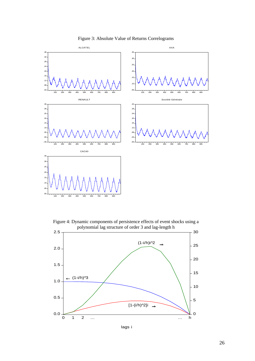

Figure 3: Absolute Value of Returns Correlograms

Figure 4: Dynamic components of persistence effects of event shocks using a polynomial lag structure of order 3 and lag-length h



lags i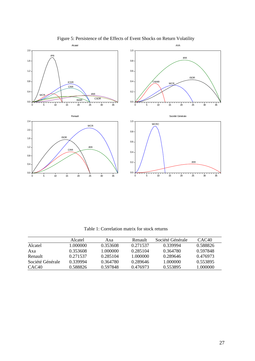

Figure 5: Persistence of the Effects of Event Shocks on Return Volatility

Table 1: Correlation matrix for stock returns

|                   | Alcatel  | Axa      | Renault  | Société Générale | CAC40    |
|-------------------|----------|----------|----------|------------------|----------|
| Alcatel           | 1.000000 | 0.353608 | 0.271537 | 0.339994         | 0.588826 |
| Axa               | 0.353608 | 1.000000 | 0.285104 | 0.364780         | 0.597848 |
| Renault           | 0.271537 | 0.285104 | 1.000000 | 0.289646         | 0.476973 |
| Société Générale  | 0.339994 | 0.364780 | 0.289646 | 1.000000         | 0.553895 |
| CAC <sub>40</sub> | 0.588826 | 0.597848 | 0.476973 | 0.553895         | 1.000000 |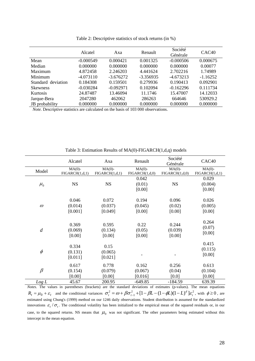|                    | Alcatel     | Axa         | Renault     | Société<br>Générale | CAC <sub>40</sub> |
|--------------------|-------------|-------------|-------------|---------------------|-------------------|
| Mean               | $-0.000549$ | 0.000421    | 0.001325    | $-0.000506$         | 0.000675          |
| Median             | 0.000000    | 0.000000    | 0.000000    | 0.000000            | 0.00077           |
| Maximum            | 4.872458    | 2.246203    | 4.441624    | 2.702216            | 1.74989           |
| Minimum            | $-4.073110$ | $-3.676272$ | $-3.356935$ | $-4.673213$         | $-1.16252$        |
| Standard deviation | 0.184308    | 0.159501    | 0.279936    | 0.190413            | 0.092901          |
| <b>Skewness</b>    | $-0.030284$ | $-0.092971$ | 0.102094    | $-0.162296$         | 0.111734          |
| <b>Kurtosis</b>    | 24.87487    | 13.46094    | 11.1746     | 15.47007            | 14.12033          |
| Jarque-Bera        | 2047280     | 462062      | 286263      | 664646              | 530929.2          |
| JB probability     | 0.000000    | 0.000000    | 0.000000    | 0.000000            | 0.000000          |

Table 2: Descriptive statistics of stock returns (in %)

 *Note.* Descriptive statistics are calculated on the basis of 103 000 observations.

|                  | Alcatel        | Axa            | Renault        | Société<br>Générale | CAC <sub>40</sub> |
|------------------|----------------|----------------|----------------|---------------------|-------------------|
| Model            | $MA(0)-$       | $MA(0)-$       | $MA(0)-$       | $MA(0)-$            | $MA(0)-$          |
|                  | FIGARCH(1,d,1) | FIGARCH(1,d,1) | FIGARCH(1,d,0) | FIGARCH(1,d,0)      | FIGARCH(1,d,1)    |
|                  |                |                | 0.042          |                     | 0.029             |
| $\mu_{0}$        | <b>NS</b>      | <b>NS</b>      | (0.01)         | <b>NS</b>           | (0.004)           |
|                  |                |                | [0.00]         |                     | [0.00]            |
|                  |                |                |                |                     |                   |
|                  | 0.046          | 0.072          | 0.194          | 0.096               | 0.026             |
| $\omega$         | (0.014)        | (0.037)        | (0.045)        | (0.02)              | (0.005)           |
|                  | [0.001]        | [0.049]        | [0.00]         | [0.00]              | [0.00]            |
|                  |                |                |                |                     |                   |
|                  | 0.369          | 0.595          | 0.22           | 0.244               | 0.264             |
|                  |                |                |                |                     | (0.07)            |
| $\boldsymbol{d}$ | (0.069)        | (0.134)        | (0.05)         | (0.039)             | [0.00]            |
|                  | [0.00]         | [0.00]         | [0.00]         | [0.00]              |                   |
|                  |                |                |                |                     | 0.415             |
|                  | 0.334          | 0.15           |                |                     | (0.115)           |
| $\phi$           | (0.131)        | (0.065)        |                |                     | [0.00]            |
|                  | [0.011]        | [0.021]        |                |                     |                   |
|                  | 0.617          | 0.778          | 0.162          | 0.256               | 0.613             |
| $\beta$          | (0.154)        | (0.079)        | (0.067)        | (0.04)              | (0.104)           |
|                  | [0.00]         | [0.00]         | [0.016]        | [0.0]               | [0.00]            |
| Log L            | 45.67          | 200.95         | $-649.85$      | $-184.59$           | 639.39            |

Table 3: Estimation Results of MA(0)-FIGARCH(1,d,q) models

*Notes*. The values in parentheses (brackets) are the standard deviations of estimates (p-values). The mean equations  $R_t = \mu_0 + \varepsilon_t$  and the conditional variances  $\sigma_t^2 = \omega + \beta \sigma_{t-1}^2 + [1 - \beta L - (1 - \phi L)(1 - L)^d] \varepsilon_t^2$ , with  $\phi \ge 0$ , are estimated using Chung's (1999) method on our 1246 daily observations. Student distribution is assumed for the standardized innovations  $\varepsilon_t / \sigma_t$ . The conditional volatility has been initialized to the empirical mean of the squared residuals or, in our case, to the squared returns. NS means that  $\mu_0$  was not significant. The other parameters being estimated without this intercept in the mean equation.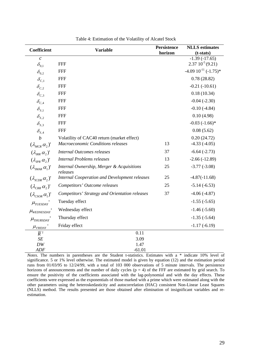| <b>Coefficient</b>                   | <b>Variable</b>                                       | Persistence | <b>NLLS</b> estimates                  |
|--------------------------------------|-------------------------------------------------------|-------------|----------------------------------------|
|                                      |                                                       | horizon     | $(t-stats)$                            |
| $\mathcal{C}$<br>$\delta_{0.1}$      | <b>FFF</b>                                            |             | $-1.39(-17.65)$<br>$2.3710^{-5}(9.21)$ |
| $\delta_{0,2}$                       | <b>FFF</b>                                            |             | $-4.0910^{-11}(-1.75)$ *               |
| $\delta_{C,1}$                       | <b>FFF</b>                                            |             | 0.78(28.82)                            |
| $\delta_{c,2}$                       | <b>FFF</b>                                            |             | $-0.21(-10.61)$                        |
| $\delta_{C,3}$                       | <b>FFF</b>                                            |             | 0.18(10.34)                            |
| $\delta_{C,4}$                       | <b>FFF</b>                                            |             | $-0.04$ $(-2.30)$                      |
| $\delta_{s,i}$                       | <b>FFF</b>                                            |             | $-0.10(-4.84)$                         |
| $\delta_{S,2}$                       | <b>FFF</b>                                            |             | 0.10(4.98)                             |
| $\delta_{S,3}$                       | <b>FFF</b>                                            |             | $-0.03$ $(-1.66)$ *                    |
| $\delta_{s,4}$                       | <b>FFF</b>                                            |             | 0.08(5.62)                             |
| $\boldsymbol{b}$                     | Volatility of CAC40 return (market effect)            |             | 0.20(24.72)                            |
| $(\lambda_{MCR} \alpha_2)'$          | Macroeconomic Conditions releases                     | 13          | $-4.33(-4.05)$                         |
| $(\lambda_{\text{IRR}} \alpha_{2})'$ | <b>Internal Outcomes releases</b>                     | 37          | $-6.64(-2.73)$                         |
| $(\lambda_{IPR} \alpha_{2})'$        | <b>Internal Problems releases</b>                     | 13          | $-2.66(-12.89)$                        |
| $(\lambda_{\text{IMAR}} \alpha_1)'$  | Internal Ownership, Merger & Acquisitions<br>releases | 25          | $-3.77(-3.08)$                         |
| $(\lambda_{ICDR} \alpha_2)'$         | <b>Internal Cooperation and Development releases</b>  | 25          | $-4.87(-11.68)$                        |
| $(\lambda_{CRR} \alpha_2)'$          | Competitors' Outcome releases                         | 25          | $-5.14(-6.53)$                         |
| $(\lambda_{CSOR} \alpha_1)'$         | <b>Competitors' Strategy and Orientation releases</b> | 37          | $-4.06(-4.87)$                         |
| $\mu$ <sub>TUESDAY</sub>             | Tuesday effect                                        |             | $-1.55(-5.65)$                         |
| $\mu$ <sub>WEDNESDAY</sub>           | Wednesday effect                                      |             | $-1.46(-5.60)$                         |
| $\mu$ <sub>THURSDAY</sub>            | Thursday effect                                       |             | $-1.35(-5.64)$                         |
| $\mu_{\scriptscriptstyle FRIDAY}$ '  | Friday effect                                         |             | $-1.17(-6.19)$                         |
| $\overline{R}^2$                     | 0.11                                                  |             |                                        |
| SE                                   | 3.09                                                  |             |                                        |
| DW                                   | 1.47                                                  |             |                                        |
| ADF                                  | $-61.01$                                              |             |                                        |

Table 4: Estimation of the Volatility of Alcatel Stock

*Notes*. The numbers in parentheses are the Student t-statistics. Estimates with a \* indicate 10% level of significance. 5 or 1% level otherwise. The estimated model is given by equation (12) and the estimation period runs from 01/03/95 to 12/24/99, with a total of 103 000 observations of 5 minute intervals. The persistence horizons of announcements and the number of daily cycles  $(p = 4)$  of the FFF are estimated by grid search. To ensure the positivity of the coefficients associated with the lag-polynomial and with the day effects. These coefficients were expressed as the exponentials of those marked with a prime which were estimated along with the other parameters using the heteroskedasticity and autocorrelation (HAC) consistent Non-Linear Least Squares (NLLS) method. The results presented are those obtained after elimination of insignificant variables and reestimation.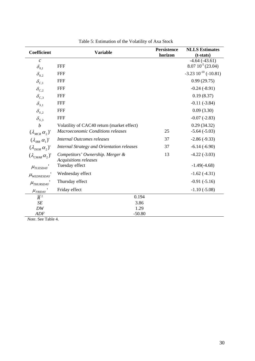| Coefficient                           | <b>Variable</b>                                           | <b>Persistence</b><br>horizon | <b>NLLS</b> Estimates<br>$(t-stats)$     |  |
|---------------------------------------|-----------------------------------------------------------|-------------------------------|------------------------------------------|--|
| $\mathcal{C}_{0}$<br>$\delta_{0,1}$   | <b>FFF</b>                                                |                               | $-4.64(-43.61)$<br>$8.0710^{-5}$ (23.04) |  |
| $\delta_{0,2}$                        | <b>FFF</b>                                                |                               | $-3.23$ $10^{-10}$ ( $-10.81$ )          |  |
| $\delta_{C,1}$                        | <b>FFF</b>                                                |                               | 0.99(29.75)                              |  |
| $\delta_{c,2}$                        | <b>FFF</b>                                                |                               | $-0.24(-8.91)$                           |  |
| $\delta_{C,3}$                        | <b>FFF</b>                                                |                               | 0.19(8.37)                               |  |
| $\delta_{s,i}$                        | <b>FFF</b>                                                |                               | $-0.11(-3.84)$                           |  |
| $\delta_{s,2}$                        | <b>FFF</b>                                                |                               | 0.09(3.30)                               |  |
| $\delta_{s,3}$                        | <b>FFF</b>                                                |                               | $-0.07(-2.83)$                           |  |
| $\boldsymbol{b}$                      | Volatility of CAC40 return (market effect)                |                               | 0.29(34.32)                              |  |
| $(\lambda_{MCR} \alpha_2)'$           | Macroeconomic Conditions releases                         | 25                            | $-5.64(-5.03)$                           |  |
| $(\lambda_{\text{IRR}} \alpha_1)'$    | <b>Internal Outcomes releases</b>                         | 37                            | $-2.86(-9.33)$                           |  |
| $(\lambda_{\text{ISOR}} \alpha_{2})'$ | <b>Internal Strategy and Orientation releases</b>         | 37                            | $-6.14(-6.90)$                           |  |
| $(\lambda_{CMAR} \alpha_2)'$          | Competitors' Ownership. Merger &<br>Acquisitions releases | 13                            | $-4.22(-3.03)$                           |  |
| $\mu$ <sub>TUESDAY</sub>              | Tuesday effect                                            |                               | $-1.49(-4.68)$                           |  |
| $\mu$ <sub>WEDNESDAY</sub>            | Wednesday effect                                          |                               | $-1.62(-4.31)$                           |  |
| $\mu$ <sub>THURSDAY</sub>             | Thursday effect                                           |                               | $-0.91(-5.16)$                           |  |
| $\mu$ <sub>FRIDAY</sub> '             | Friday effect                                             |                               | $-1.10(-5.08)$                           |  |
| $\overline{R}^2$                      | 0.194                                                     |                               |                                          |  |
| SE                                    | 3.86                                                      |                               |                                          |  |
| DW                                    | 1.29                                                      |                               |                                          |  |
| <b>ADF</b><br>$\sim$                  | $-50.80$                                                  |                               |                                          |  |

Table 5: Estimation of the Volatility of Axa Stock

*Note*. See Table 4.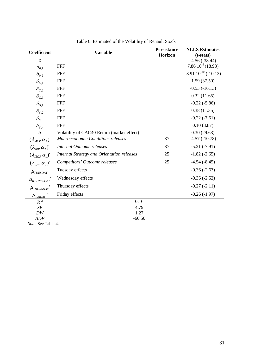| Coefficient                          | <b>Variable</b>                            | <b>Persistance</b><br>Horizon | <b>NLLS</b> Estimates<br>$(t-stats)$ |  |  |
|--------------------------------------|--------------------------------------------|-------------------------------|--------------------------------------|--|--|
| $\mathcal{C}$                        |                                            |                               | $-4.56(-38.44)$                      |  |  |
| $\delta_{0,1}$                       | <b>FFF</b>                                 |                               | 7.86 $10^{-5}$ (18.93)               |  |  |
| $\delta_{0,2}$                       | <b>FFF</b>                                 |                               | $-3.9110^{-10}$ ( $-10.13$ )         |  |  |
| $\delta_{C,1}$                       | <b>FFF</b>                                 |                               | 1.59(37.50)                          |  |  |
| $\delta_{c,2}$                       | <b>FFF</b>                                 |                               | $-0.53(-16.13)$                      |  |  |
| $\delta_{C,3}$                       | <b>FFF</b>                                 |                               | 0.32(11.65)                          |  |  |
| $\delta_{s,i}$                       | <b>FFF</b>                                 |                               | $-0.22(-5.86)$                       |  |  |
| $\delta_{s,2}$                       | <b>FFF</b>                                 |                               | 0.38(11.35)                          |  |  |
| $\delta_{s,3}$                       | <b>FFF</b>                                 |                               | $-0.22(-7.61)$                       |  |  |
| $\delta_{s,4}$                       | <b>FFF</b>                                 |                               | 0.10(3.87)                           |  |  |
| $\boldsymbol{b}$                     | Volatility of CAC40 Return (market effect) |                               | 0.30(29.63)                          |  |  |
| $(\lambda_{MCR} \alpha_2)'$          | Macroeconomic Conditions releases          | 37                            | $-4.57(-10.78)$                      |  |  |
| $(\lambda_{\text{IRR}} \alpha_{2})'$ | Internal Outcome releases                  | 37                            | $-5.21(-7.91)$                       |  |  |
| $(\lambda_{\text{ISOR}} \alpha_1)'$  | Internal Strategy and Orientation releases | 25                            | $-1.82$ $(-2.65)$                    |  |  |
| $(\lambda_{CRR} \alpha_{\gamma})'$   | Competitors' Outcome releases              | 25                            | $-4.54(-8.45)$                       |  |  |
| $\mu$ <sub>TUESDAY</sub>             | Tuesday effects                            |                               | $-0.36(-2.63)$                       |  |  |
| $\mu_{\textit{WEDNESDAY}}$           | Wednesday effects                          |                               | $-0.36(-2.52)$                       |  |  |
| $\mu_{\textit{THURSDAY}}'$           | Thursday effects                           |                               | $-0.27(-2.11)$                       |  |  |
| $\mu_{\scriptscriptstyle FRIDAY}$ '  | Friday effects                             |                               | $-0.26(-1.97)$                       |  |  |
| $\overline{R}^2$                     | 0.16                                       |                               |                                      |  |  |
| SE                                   | 4.79                                       |                               |                                      |  |  |
| DW                                   | 1.27                                       |                               |                                      |  |  |
| ADF                                  | $-60.50$                                   |                               |                                      |  |  |

Table 6: Estimated of the Volatility of Renault Stock

*Note*. See Table 4.